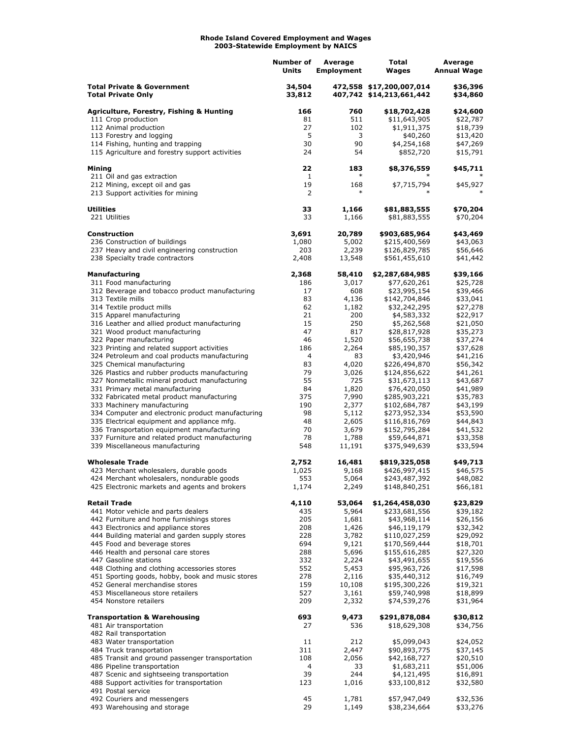## **Rhode Island Covered Employment and Wages 2003-Statewide Employment by NAICS**

|                                                                                             | Number of<br>Units | Average<br><b>Employment</b> | Total<br>Wages                                       | Average<br><b>Annual Wage</b> |
|---------------------------------------------------------------------------------------------|--------------------|------------------------------|------------------------------------------------------|-------------------------------|
| <b>Total Private &amp; Government</b><br><b>Total Private Only</b>                          | 34,504<br>33,812   |                              | 472,558 \$17,200,007,014<br>407,742 \$14,213,661,442 | \$36,396<br>\$34,860          |
| <b>Agriculture, Forestry, Fishing &amp; Hunting</b>                                         | 166                | 760                          | \$18,702,428                                         | \$24,600                      |
| 111 Crop production                                                                         | 81                 | 511                          | \$11,643,905                                         | \$22,787                      |
| 112 Animal production                                                                       | 27                 | 102                          | \$1,911,375                                          | \$18,739                      |
| 113 Forestry and logging<br>114 Fishing, hunting and trapping                               | 5<br>30            | 3<br>90                      | \$40,260<br>\$4,254,168                              | \$13,420<br>\$47,269          |
| 115 Agriculture and forestry support activities                                             | 24                 | 54                           | \$852,720                                            | \$15,791                      |
| Mining<br>211 Oil and gas extraction                                                        | 22<br>$\mathbf{1}$ | 183                          | \$8,376,559                                          | \$45,711<br>∗                 |
| 212 Mining, except oil and gas<br>213 Support activities for mining                         | 19<br>2            | 168<br>$\ast$                | \$7,715,794                                          | \$45,927                      |
| <b>Utilities</b>                                                                            | 33                 | 1,166                        | \$81,883,555                                         | \$70,204                      |
| 221 Utilities                                                                               | 33                 | 1,166                        | \$81,883,555                                         | \$70,204                      |
| <b>Construction</b>                                                                         | 3,691              | 20,789                       | \$903,685,964                                        | \$43,469                      |
| 236 Construction of buildings<br>237 Heavy and civil engineering construction               | 1,080<br>203       | 5,002<br>2,239               | \$215,400,569<br>\$126,829,785                       | \$43,063<br>\$56,646          |
| 238 Specialty trade contractors                                                             | 2,408              | 13,548                       | \$561,455,610                                        | \$41,442                      |
| <b>Manufacturing</b>                                                                        | 2,368              | 58,410                       | \$2,287,684,985                                      | \$39,166                      |
| 311 Food manufacturing                                                                      | 186                | 3,017                        | \$77,620,261                                         | \$25,728                      |
| 312 Beverage and tobacco product manufacturing<br>313 Textile mills                         | 17<br>83           | 608<br>4,136                 | \$23,995,154<br>\$142,704,846                        | \$39,466<br>\$33,041          |
| 314 Textile product mills                                                                   | 62                 | 1,182                        | \$32,242,295                                         | \$27,278                      |
| 315 Apparel manufacturing                                                                   | 21                 | 200                          | \$4,583,332                                          | \$22,917                      |
| 316 Leather and allied product manufacturing                                                | 15                 | 250                          | \$5,262,568                                          | \$21,050                      |
| 321 Wood product manufacturing                                                              | 47                 | 817                          | \$28,817,928<br>\$56,655,738                         | \$35,273                      |
| 322 Paper manufacturing<br>323 Printing and related support activities                      | 46<br>186          | 1,520<br>2,264               | \$85,190,357                                         | \$37,274<br>\$37,628          |
| 324 Petroleum and coal products manufacturing                                               | 4                  | 83                           | \$3,420,946                                          | \$41,216                      |
| 325 Chemical manufacturing                                                                  | 83                 | 4,020                        | \$226,494,870                                        | \$56,342                      |
| 326 Plastics and rubber products manufacturing                                              | 79                 | 3,026                        | \$124,856,622                                        | \$41,261                      |
| 327 Nonmetallic mineral product manufacturing                                               | 55                 | 725                          | \$31,673,113                                         | \$43,687                      |
| 331 Primary metal manufacturing<br>332 Fabricated metal product manufacturing               | 84<br>375          | 1,820<br>7,990               | \$76,420,050<br>\$285,903,221                        | \$41,989<br>\$35,783          |
| 333 Machinery manufacturing                                                                 | 190                | 2,377                        | \$102,684,787                                        | \$43,199                      |
| 334 Computer and electronic product manufacturing                                           | 98                 | 5,112                        | \$273,952,334                                        | \$53,590                      |
| 335 Electrical equipment and appliance mfg.                                                 | 48                 | 2,605                        | \$116,816,769                                        | \$44,843                      |
| 336 Transportation equipment manufacturing                                                  | 70                 | 3,679                        | \$152,795,284                                        | \$41,532                      |
| 337 Furniture and related product manufacturing<br>339 Miscellaneous manufacturing          | 78<br>548          | 1,788<br>11,191              | \$59,644,871<br>\$375,949,639                        | \$33,358<br>\$33,594          |
| <b>Wholesale Trade</b>                                                                      | 2,752              | 16,481                       | \$819,325,058                                        | \$49,713                      |
| 423 Merchant wholesalers, durable goods                                                     | 1,025              | 9,168                        | \$426,997,415                                        | \$46,575                      |
| 424 Merchant wholesalers, nondurable goods<br>425 Electronic markets and agents and brokers | 553<br>1,174       | 5,064<br>2,249               | \$243,487,392<br>\$148,840,251                       | \$48,082<br>\$66,181          |
| <b>Retail Trade</b>                                                                         | 4,110              | 53,064                       | \$1,264,458,030                                      | \$23,829                      |
| 441 Motor vehicle and parts dealers                                                         | 435                | 5,964                        | \$233,681,556                                        | \$39,182                      |
| 442 Furniture and home furnishings stores                                                   | 205                | 1,681                        | \$43,968,114                                         | \$26,156                      |
| 443 Electronics and appliance stores<br>444 Building material and garden supply stores      | 208<br>228         | 1,426<br>3,782               | \$46,119,179<br>\$110,027,259                        | \$32,342<br>\$29,092          |
| 445 Food and beverage stores                                                                | 694                | 9,121                        | \$170,569,444                                        | \$18,701                      |
| 446 Health and personal care stores                                                         | 288                | 5,696                        | \$155,616,285                                        | \$27,320                      |
| 447 Gasoline stations                                                                       | 332                | 2,224                        | \$43,491,655                                         | \$19,556                      |
| 448 Clothing and clothing accessories stores                                                | 552                | 5,453                        | \$95,963,726                                         | \$17,598                      |
| 451 Sporting goods, hobby, book and music stores<br>452 General merchandise stores          | 278<br>159         | 2,116<br>10,108              | \$35,440,312<br>\$195,300,226                        | \$16,749<br>\$19,321          |
| 453 Miscellaneous store retailers                                                           | 527                | 3,161                        | \$59,740,998                                         | \$18,899                      |
| 454 Nonstore retailers                                                                      | 209                | 2,332                        | \$74,539,276                                         | \$31,964                      |
| <b>Transportation &amp; Warehousing</b><br>481 Air transportation                           | 693<br>27          | 9,473<br>536                 | \$291,878,084<br>\$18,629,308                        | \$30,812<br>\$34,756          |
| 482 Rail transportation                                                                     |                    |                              |                                                      |                               |
| 483 Water transportation                                                                    | 11                 | 212                          | \$5,099,043                                          | \$24,052                      |
| 484 Truck transportation                                                                    | 311                | 2,447                        | \$90,893,775                                         | \$37,145                      |
| 485 Transit and ground passenger transportation                                             | 108                | 2,056                        | \$42,168,727                                         | \$20,510                      |
| 486 Pipeline transportation                                                                 | 4                  | 33<br>244                    | \$1,683,211                                          | \$51,006                      |
| 487 Scenic and sightseeing transportation<br>488 Support activities for transportation      | 39<br>123          | 1,016                        | \$4,121,495<br>\$33,100,812                          | \$16,891<br>\$32,580          |
| 491 Postal service                                                                          |                    |                              |                                                      |                               |
| 492 Couriers and messengers                                                                 | 45                 | 1,781                        | \$57,947,049                                         | \$32,536                      |
| 493 Warehousing and storage                                                                 | 29                 | 1,149                        | \$38,234,664                                         | \$33,276                      |